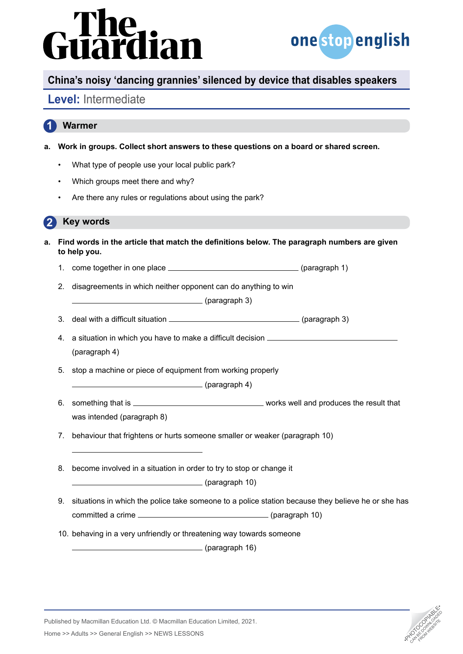# dian



# **China's noisy 'dancing grannies' silenced by device that disables speakers**

### **Level:** Intermediate

### **1 Warmer**

- **a. Work in groups. Collect short answers to these questions on a board or shared screen.**
	- What type of people use your local public park?
	- Which groups meet there and why?
	- Are there any rules or regulations about using the park?

#### **2 Key words**

- **a. Find words in the article that match the definitions below. The paragraph numbers are given to help you.**
	- 1. come together in one place (paragraph 1)
	- 2. disagreements in which neither opponent can do anything to win
		- (paragraph 3)
	- 3. deal with a difficult situation \_\_\_\_\_\_\_\_\_\_\_\_\_\_\_\_\_\_\_\_\_\_\_\_\_\_\_\_\_\_\_\_\_\_\_(paragraph 3)
	- 4. a situation in which you have to make a difficult decision (paragraph 4)
	- 5. stop a machine or piece of equipment from working properly

(paragraph 4)

- 6. something that is works well and produces the result that was intended (paragraph 8)
- 7. behaviour that frightens or hurts someone smaller or weaker (paragraph 10)
- 8. become involved in a situation in order to try to stop or change it

(paragraph 10)

- 9. situations in which the police take someone to a police station because they believe he or she has committed a crime (paragraph 10)
- 10. behaving in a very unfriendly or threatening way towards someone

(paragraph 16)



Published by Macmillan Education Ltd. © Macmillan Education Limited, 2021. Analysished by Macmillan Education Ltd. © Macmillan Education Limited, 2021.<br>Home >> Adults >> General English >> NEWS LESSONS •PHOTOCOPIA •PHOTOCOPIA •PHOTOCOPIA •PHOTOCOPIA •PHOTOCOPIA<br>Analysis •Photocopy •PHOTOCOPIA •PH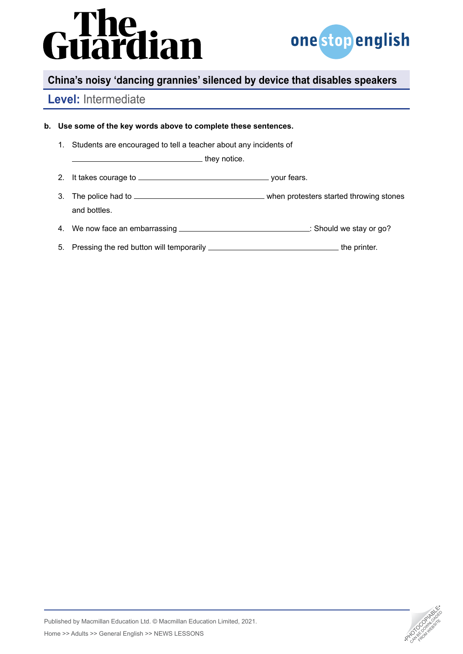# **The<br>Iardian**



# **China's noisy 'dancing grannies' silenced by device that disables speakers**

# **Level:** Intermediate

#### **b. Use some of the key words above to complete these sentences.**

1. Students are encouraged to tell a teacher about any incidents of

**they notice.** 

- 2. It takes courage to your fears.
- 3. The police had to <u>when protesters started throwing stones</u> and bottles.
- 4. We now face an embarrassing \_\_\_\_\_\_\_\_\_\_\_\_\_\_\_\_\_\_\_\_\_\_\_\_\_\_\_\_\_\_\_\_\_\_: Should we stay or go?
- 5. Pressing the red button will temporarily **contain the printer.** the printer.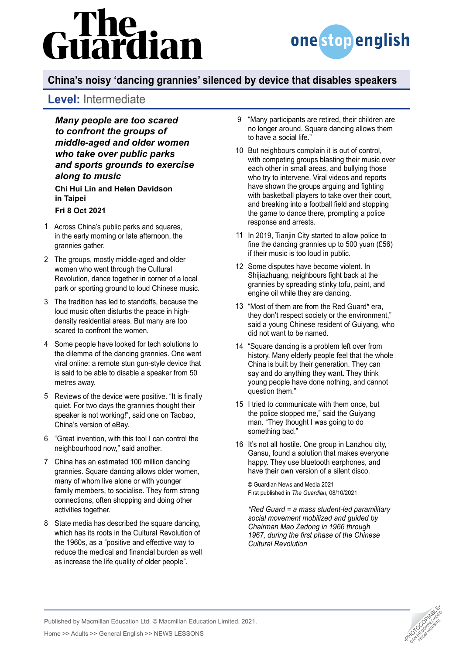# lian



# **China's noisy 'dancing grannies' silenced by device that disables speakers**

# **Level:** Intermediate

*Many people are too scared to confront the groups of middle-aged and older women who take over public parks and sports grounds to exercise along to music*

**Chi Hui Lin and Helen Davidson in Taipei**

#### **Fri 8 Oct 2021**

- Across China's public parks and squares, 1 in the early morning or late afternoon, the grannies gather.
- The groups, mostly middle-aged and older 2 women who went through the Cultural Revolution, dance together in corner of a local park or sporting ground to loud Chinese music.
- The tradition has led to standoffs, because the 3 loud music often disturbs the peace in highdensity residential areas. But many are too scared to confront the women.
- 4 Some people have looked for tech solutions to the dilemma of the dancing grannies. One went viral online: a remote stun gun-style device that is said to be able to disable a speaker from 50 metres away.
- 5 Reviews of the device were positive. "It is finally quiet. For two days the grannies thought their speaker is not working!", said one on Taobao, China's version of eBay.
- "Great invention, with this tool I can control the 6 neighbourhood now," said another.
- China has an estimated 100 million dancing 7 grannies. Square dancing allows older women, many of whom live alone or with younger family members, to socialise. They form strong connections, often shopping and doing other activities together.
- 8 State media has described the square dancing, which has its roots in the Cultural Revolution of the 1960s, as a "positive and effective way to reduce the medical and financial burden as well as increase the life quality of older people".
- "Many participants are retired, their children are 9 no longer around. Square dancing allows them to have a social life."
- 10 But neighbours complain it is out of control, with competing groups blasting their music over each other in small areas, and bullying those who try to intervene. Viral videos and reports have shown the groups arguing and fighting with basketball players to take over their court, and breaking into a football field and stopping the game to dance there, prompting a police response and arrests.
- In 2019, Tianjin City started to allow police to 11 fine the dancing grannies up to 500 yuan (£56) if their music is too loud in public.
- 12 Some disputes have become violent. In Shijiazhuang, neighbours fight back at the grannies by spreading stinky tofu, paint, and engine oil while they are dancing.
- 13 "Most of them are from the Red Guard\* era, they don't respect society or the environment," said a young Chinese resident of Guiyang, who did not want to be named.
- "Square dancing is a problem left over from 14 history. Many elderly people feel that the whole China is built by their generation. They can say and do anything they want. They think young people have done nothing, and cannot question them."
- 15 I tried to communicate with them once, but the police stopped me," said the Guiyang man. "They thought I was going to do something bad."
- 16 It's not all hostile. One group in Lanzhou city, Gansu, found a solution that makes everyone happy. They use bluetooth earphones, and have their own version of a silent disco.

© Guardian News and Media 2021 First published in *The Guardian*, 08/10/2021

*\*Red Guard = a mass student-led paramilitary social movement mobilized and guided by Chairman Mao Zedong in 1966 through 1967, during the first phase of the Chinese Cultural Revolution*



Published by Macmillan Education Ltd. © Macmillan Education Limited, 2021. Analysished by Macmillan Education Ltd. © Macmillan Education Limited, 2021.<br>Home >> Adults >> General English >> NEWS LESSONS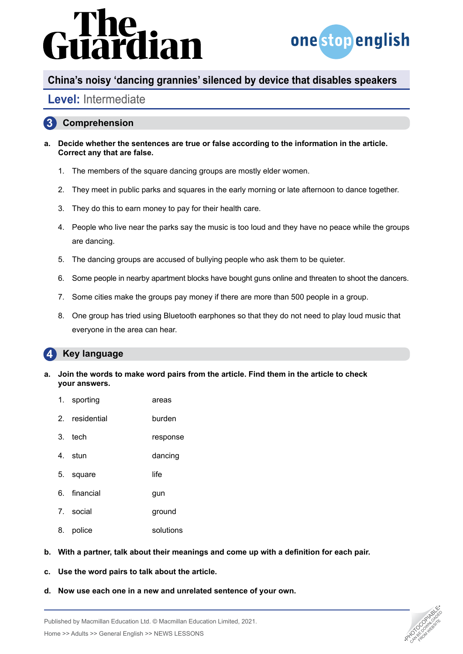# dian



### **China's noisy 'dancing grannies' silenced by device that disables speakers**

## **Level:** Intermediate

#### **3 Comprehension**

- **a. Decide whether the sentences are true or false according to the information in the article. Correct any that are false.**
	- 1. The members of the square dancing groups are mostly elder women.
	- 2. They meet in public parks and squares in the early morning or late afternoon to dance together.
	- 3. They do this to earn money to pay for their health care.
	- 4. People who live near the parks say the music is too loud and they have no peace while the groups are dancing.
	- 5. The dancing groups are accused of bullying people who ask them to be quieter.
	- 6. Some people in nearby apartment blocks have bought guns online and threaten to shoot the dancers.
	- 7. Some cities make the groups pay money if there are more than 500 people in a group.
	- 8. One group has tried using Bluetooth earphones so that they do not need to play loud music that everyone in the area can hear.

#### **4 Key language**

- **a. Join the words to make word pairs from the article. Find them in the article to check your answers.**
	- 1. sporting areas
	- 2. residential burden
	- 3. tech response
	- 4. stun dancing
	- 5. square life
	- 6. financial gun
	- 7. social ground
	- 8. police solutions
- **b. With a partner, talk about their meanings and come up with a definition for each pair.**
- **c. Use the word pairs to talk about the article.**
- **d. Now use each one in a new and unrelated sentence of your own.**



Published by Macmillan Education Ltd. © Macmillan Education Limited, 2021. Analysished by Macmillan Education Ltd. © Macmillan Education Limited, 2021.<br>Home >> Adults >> General English >> NEWS LESSONS •PHOTOCOPIA •PHOTOCOPIA •PHOTOCOPIA •PHOTOCOPIA •PHOTOCOPIA<br>Analysis •Photocopy •PHOTOCOPIA •PH